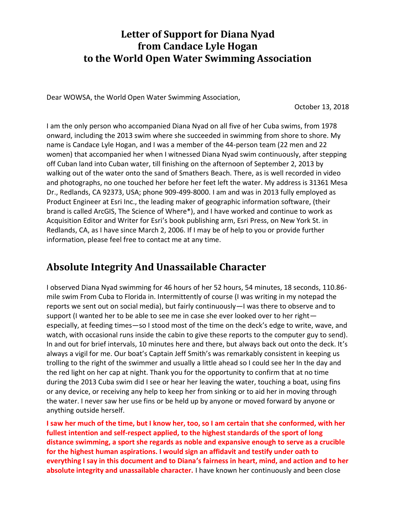## **Letter of Support for Diana Nyad from Candace Lyle Hogan to the World Open Water Swimming Association**

Dear WOWSA, the World Open Water Swimming Association,

October 13, 2018

I am the only person who accompanied Diana Nyad on all five of her Cuba swims, from 1978 onward, including the 2013 swim where she succeeded in swimming from shore to shore. My name is Candace Lyle Hogan, and I was a member of the 44-person team (22 men and 22 women) that accompanied her when I witnessed Diana Nyad swim continuously, after stepping off Cuban land into Cuban water, till finishing on the afternoon of September 2, 2013 by walking out of the water onto the sand of Smathers Beach. There, as is well recorded in video and photographs, no one touched her before her feet left the water. My address is 31361 Mesa Dr., Redlands, CA 92373, USA; phone 909-499-8000. I am and was in 2013 fully employed as Product Engineer at Esri Inc., the leading maker of geographic information software, (their brand is called ArcGIS, The Science of Where\*), and I have worked and continue to work as Acquisition Editor and Writer for Esri's book publishing arm, Esri Press, on New York St. in Redlands, CA, as I have since March 2, 2006. If I may be of help to you or provide further information, please feel free to contact me at any time.

## **Absolute Integrity And Unassailable Character**

I observed Diana Nyad swimming for 46 hours of her 52 hours, 54 minutes, 18 seconds, 110.86 mile swim From Cuba to Florida in. Intermittently of course (I was writing in my notepad the reports we sent out on social media), but fairly continuously—I was there to observe and to support (I wanted her to be able to see me in case she ever looked over to her right especially, at feeding times—so I stood most of the time on the deck's edge to write, wave, and watch, with occasional runs inside the cabin to give these reports to the computer guy to send). In and out for brief intervals, 10 minutes here and there, but always back out onto the deck. It's always a vigil for me. Our boat's Captain Jeff Smith's was remarkably consistent in keeping us trolling to the right of the swimmer and usually a little ahead so I could see her In the day and the red light on her cap at night. Thank you for the opportunity to confirm that at no time during the 2013 Cuba swim did I see or hear her leaving the water, touching a boat, using fins or any device, or receiving any help to keep her from sinking or to aid her in moving through the water. I never saw her use fins or be held up by anyone or moved forward by anyone or anything outside herself.

**I saw her much of the time, but I know her, too, so I am certain that she conformed, with her fullest intention and self-respect applied, to the highest standards of the sport of long distance swimming, a sport she regards as noble and expansive enough to serve as a crucible for the highest human aspirations. I would sign an affidavit and testify under oath to everything I say in this document and to Diana's fairness in heart, mind, and action and to her absolute integrity and unassailable character.** I have known her continuously and been close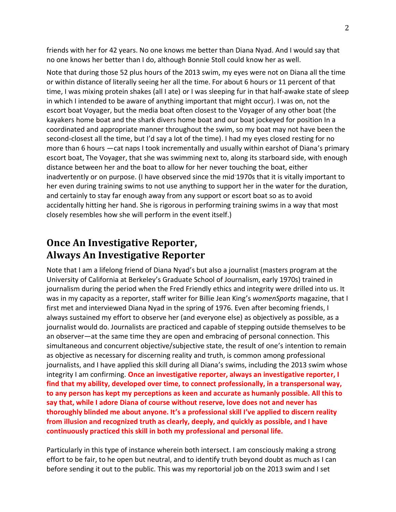friends with her for 42 years. No one knows me better than Diana Nyad. And I would say that no one knows her better than I do, although Bonnie Stoll could know her as well.

Note that during those 52 plus hours of the 2013 swim, my eyes were not on Diana all the time or within distance of literally seeing her all the time. For about 6 hours or 11 percent of that time, I was mixing protein shakes (all I ate) or I was sleeping fur in that half-awake state of sleep in which I intended to be aware of anything important that might occur). I was on, not the escort boat Voyager, but the media boat often closest to the Voyager of any other boat (the kayakers home boat and the shark divers home boat and our boat jockeyed for position In a coordinated and appropriate manner throughout the swim, so my boat may not have been the second-closest all the time, but I'd say a lot of the time). I had my eyes closed resting for no more than 6 hours —cat naps I took incrementally and usually within earshot of Diana's primary escort boat, The Voyager, that she was swimming next to, along its starboard side, with enough distance between her and the boat to allow for her never touching the boat, either inadvertently or on purpose. (I have observed since the mid-1970s that it is vitally important to her even during training swims to not use anything to support her in the water for the duration, and certainly to stay far enough away from any support or escort boat so as to avoid accidentally hitting her hand. She is rigorous in performing training swims in a way that most closely resembles how she will perform in the event itself.)

## **Once An Investigative Reporter, Always An Investigative Reporter**

Note that I am a lifelong friend of Diana Nyad's but also a journalist (masters program at the University of California at Berkeley's Graduate School of Journalism, early 1970s) trained in journalism during the period when the Fred Friendly ethics and integrity were drilled into us. It was in my capacity as a reporter, staff writer for Billie Jean King's *womenSports* magazine, that I first met and interviewed Diana Nyad in the spring of 1976. Even after becoming friends, I always sustained my effort to observe her (and everyone else) as objectively as possible, as a journalist would do. Journalists are practiced and capable of stepping outside themselves to be an observer—at the same time they are open and embracing of personal connection. This simultaneous and concurrent objective/subjective state, the result of one's intention to remain as objective as necessary for discerning reality and truth, is common among professional journalists, and I have applied this skill during all Diana's swims, including the 2013 swim whose integrity I am confirming. **Once an investigative reporter, always an investigative reporter, I find that my ability, developed over time, to connect professionally, in a transpersonal way, to any person has kept my perceptions as keen and accurate as humanly possible. All this to say that, while I adore Diana of course without reserve, love does not and never has thoroughly blinded me about anyone. It's a professional skill I've applied to discern reality from illusion and recognized truth as clearly, deeply, and quickly as possible, and I have continuously practiced this skill in both my professional and personal life.**

Particularly in this type of instance wherein both intersect. I am consciously making a strong effort to be fair, to he open but neutral, and to identify truth beyond doubt as much as I can before sending it out to the public. This was my reportorial job on the 2013 swim and I set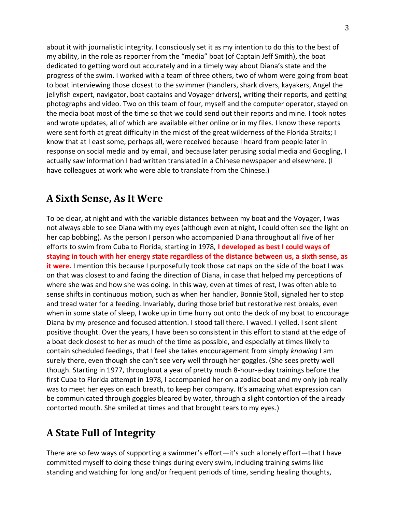about it with journalistic integrity. I consciously set it as my intention to do this to the best of my ability, in the role as reporter from the "media" boat (of Captain Jeff Smith), the boat dedicated to getting word out accurately and in a timely way about Diana's state and the progress of the swim. I worked with a team of three others, two of whom were going from boat to boat interviewing those closest to the swimmer (handlers, shark divers, kayakers, Angel the jellyfish expert, navigator, boat captains and Voyager drivers), writing their reports, and getting photographs and video. Two on this team of four, myself and the computer operator, stayed on the media boat most of the time so that we could send out their reports and mine. I took notes and wrote updates, all of which are available either online or in my files. I know these reports were sent forth at great difficulty in the midst of the great wilderness of the Florida Straits; I know that at I east some, perhaps all, were received because I heard from people later in response on social media and by email, and because later perusing social media and Googling, I actually saw information I had written translated in a Chinese newspaper and elsewhere. (I have colleagues at work who were able to translate from the Chinese.)

### **A Sixth Sense, As It Were**

To be clear, at night and with the variable distances between my boat and the Voyager, I was not always able to see Diana with my eyes (although even at night, I could often see the light on her cap bobbing). As the person I person who accompanied Diana throughout all five of her efforts to swim from Cuba to Florida, starting in 1978, **I developed as best I could ways of staying in touch with her energy state regardless of the distance between us, a sixth sense, as it were.** I mention this because I purposefully took those cat naps on the side of the boat I was on that was closest to and facing the direction of Diana, in case that helped my perceptions of where she was and how she was doing. In this way, even at times of rest, I was often able to sense shifts in continuous motion, such as when her handler, Bonnie Stoll, signaled her to stop and tread water for a feeding. Invariably, during those brief but restorative rest breaks, even when in some state of sleep, I woke up in time hurry out onto the deck of my boat to encourage Diana by my presence and focused attention. I stood tall there. I waved. I yelled. I sent silent positive thought. Over the years, I have been so consistent in this effort to stand at the edge of a boat deck closest to her as much of the time as possible, and especially at times likely to contain scheduled feedings, that I feel she takes encouragement from simply *knowing* I am surely there, even though she can't see very well through her goggles. (She sees pretty well though. Starting in 1977, throughout a year of pretty much 8-hour-a-day trainings before the first Cuba to Florida attempt in 1978, I accompanied her on a zodiac boat and my only job really was to meet her eyes on each breath, to keep her company. It's amazing what expression can be communicated through goggles bleared by water, through a slight contortion of the already contorted mouth. She smiled at times and that brought tears to my eyes.)

# **A State Full of Integrity**

There are so few ways of supporting a swimmer's effort—it's such a lonely effort—that I have committed myself to doing these things during every swim, including training swims like standing and watching for long and/or frequent periods of time, sending healing thoughts,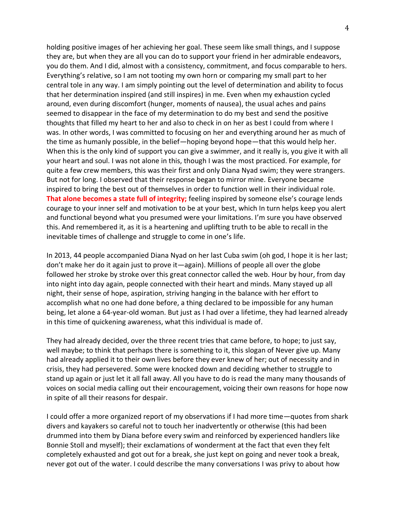holding positive images of her achieving her goal. These seem like small things, and I suppose they are, but when they are all you can do to support your friend in her admirable endeavors, you do them. And I did, almost with a consistency, commitment, and focus comparable to hers. Everything's relative, so I am not tooting my own horn or comparing my small part to her central tole in any way. I am simply pointing out the level of determination and ability to focus that her determination inspired (and still inspires) in me. Even when my exhaustion cycled around, even during discomfort (hunger, moments of nausea), the usual aches and pains seemed to disappear in the face of my determination to do my best and send the positive thoughts that filled my heart to her and also to check in on her as best I could from where I was. In other words, I was committed to focusing on her and everything around her as much of the time as humanly possible, in the belief—hoping beyond hope—that this would help her. When this is the only kind of support you can give a swimmer, and it really is, you give it with all your heart and soul. I was not alone in this, though I was the most practiced. For example, for quite a few crew members, this was their first and only Diana Nyad swim; they were strangers. But not for long. I observed that their response began to mirror mine*.* Everyone became inspired to bring the best out of themselves in order to function well in their individual role. **That alone becomes a state full of integrity;** feeling inspired by someone else's courage lends courage to your inner self and motivation to be at your best, which In turn helps keep you alert and functional beyond what you presumed were your limitations. I'm sure you have observed this. And remembered it, as it is a heartening and uplifting truth to be able to recall in the inevitable times of challenge and struggle to come in one's life.

In 2013, 44 people accompanied Diana Nyad on her last Cuba swim (oh god, I hope it is her last; don't make her do it again just to prove it—again). Millions of people all over the globe followed her stroke by stroke over this great connector called the web. Hour by hour, from day into night into day again, people connected with their heart and minds. Many stayed up all night, their sense of hope, aspiration, striving hanging in the balance with her effort to accomplish what no one had done before, a thing declared to be impossible for any human being, let alone a 64-year-old woman. But just as I had over a lifetime, they had learned already in this time of quickening awareness, what this individual is made of.

They had already decided, over the three recent tries that came before, to hope; to just say, well maybe; to think that perhaps there is something to it, this slogan of Never give up. Many had already applied it to their own lives before they ever knew of her; out of necessity and in crisis, they had persevered. Some were knocked down and deciding whether to struggle to stand up again or just let it all fall away. All you have to do is read the many many thousands of voices on social media calling out their encouragement, voicing their own reasons for hope now in spite of all their reasons for despair.

I could offer a more organized report of my observations if I had more time—quotes from shark divers and kayakers so careful not to touch her inadvertently or otherwise (this had been drummed into them by Diana before every swim and reinforced by experienced handlers like Bonnie Stoll and myself); their exclamations of wonderment at the fact that even they felt completely exhausted and got out for a break, she just kept on going and never took a break, never got out of the water. I could describe the many conversations I was privy to about how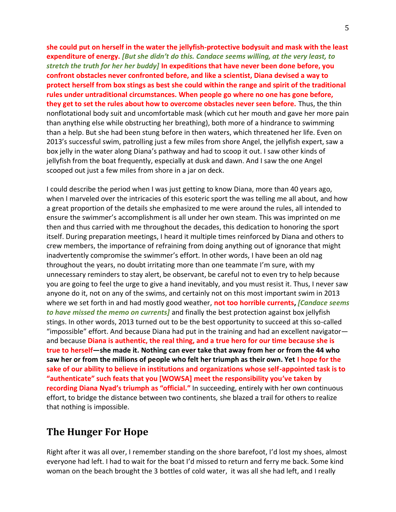**she could put on herself in the water the jellyfish-protective bodysuit and mask with the least expenditure of energy.** *[But she didn't do this. Candace seems willing, at the very least, to stretch the truth for her her buddy]* **In expeditions that have never been done before, you confront obstacles never confronted before, and like a scientist, Diana devised a way to protect herself from box stings as best she could within the range and spirit of the traditional rules under untraditional circumstances. When people go where no one has gone before, they get to set the rules about how to overcome obstacles never seen before.** Thus, the thin nonflotational body suit and uncomfortable mask (which cut her mouth and gave her more pain than anything else while obstructing her breathing), both more of a hindrance to swimming than a help. But she had been stung before in then waters, which threatened her life. Even on 2013's successful swim, patrolling just a few miles from shore Angel, the jellyfish expert, saw a box jelly in the water along Diana's pathway and had to scoop it out. I saw other kinds of jellyfish from the boat frequently, especially at dusk and dawn. And I saw the one Angel scooped out just a few miles from shore in a jar on deck.

I could describe the period when I was just getting to know Diana, more than 40 years ago, when I marveled over the intricacies of this esoteric sport the was telling me all about, and how a great proportion of the details she emphasized to me were around the rules, all intended to ensure the swimmer's accomplishment is all under her own steam. This was imprinted on me then and thus carried with me throughout the decades, this dedication to honoring the sport itself. During preparation meetings, I heard it multiple times reinforced by Diana and others to crew members, the importance of refraining from doing anything out of ignorance that might inadvertently compromise the swimmer's effort. In other words, I have been an old nag throughout the years, no doubt irritating more than one teammate I'm sure, with my unnecessary reminders to stay alert, be observant, be careful not to even try to help because you are going to feel the urge to give a hand inevitably, and you must resist it. Thus, I never saw anyone do it, not on any of the swims, and certainly not on this most important swim in 2013 where we set forth in and had mostly good weather, **not too horrible currents,** *[Candace seems to have missed the memo on currents]* and finally the best protection against box jellyfish stings. In other words, 2013 turned out to be the best opportunity to succeed at this so-called "impossible" effort. And because Diana had put in the training and had an excellent navigator and because **Diana is authentic, the real thing, and a true hero for our time because she is true to herself—she made it. Nothing can ever take that away from her or from the 44 who saw her or from the millions of people who felt her triumph as their own. Yet I hope for the sake of our ability to believe in institutions and organizations whose self-appointed task is to "authenticate" such feats that you [WOWSA] meet the responsibility you've taken by recording Diana Nyad's triumph as "official."** In succeeding, entirely with her own continuous effort, to bridge the distance between two continents*,* she blazed a trail for others to realize that nothing is impossible.

#### **The Hunger For Hope**

Right after it was all over, I remember standing on the shore barefoot, I'd lost my shoes, almost everyone had left. I had to wait for the boat I'd missed to return and ferry me back. Some kind woman on the beach brought the 3 bottles of cold water, it was all she had left, and I really